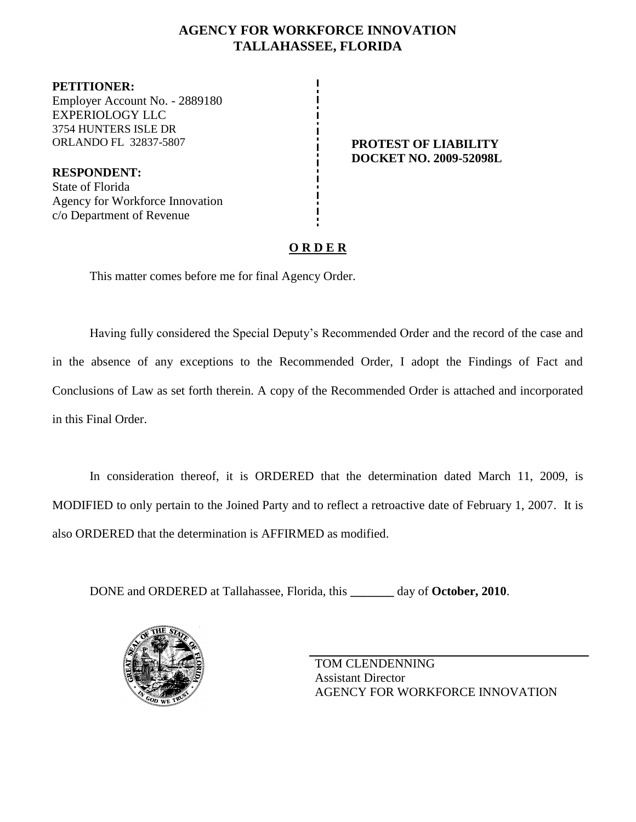## **AGENCY FOR WORKFORCE INNOVATION TALLAHASSEE, FLORIDA**

**PETITIONER:** Employer Account No. - 2889180 EXPERIOLOGY LLC 3754 HUNTERS ISLE DR ORLANDO FL 32837-5807 **PROTEST OF LIABILITY**

**RESPONDENT:** State of Florida Agency for Workforce Innovation c/o Department of Revenue

**DOCKET NO. 2009-52098L**

## **O R D E R**

This matter comes before me for final Agency Order.

Having fully considered the Special Deputy's Recommended Order and the record of the case and in the absence of any exceptions to the Recommended Order, I adopt the Findings of Fact and Conclusions of Law as set forth therein. A copy of the Recommended Order is attached and incorporated in this Final Order.

In consideration thereof, it is ORDERED that the determination dated March 11, 2009, is MODIFIED to only pertain to the Joined Party and to reflect a retroactive date of February 1, 2007. It is also ORDERED that the determination is AFFIRMED as modified.

DONE and ORDERED at Tallahassee, Florida, this **\_\_\_\_\_\_\_** day of **October, 2010**.



TOM CLENDENNING Assistant Director AGENCY FOR WORKFORCE INNOVATION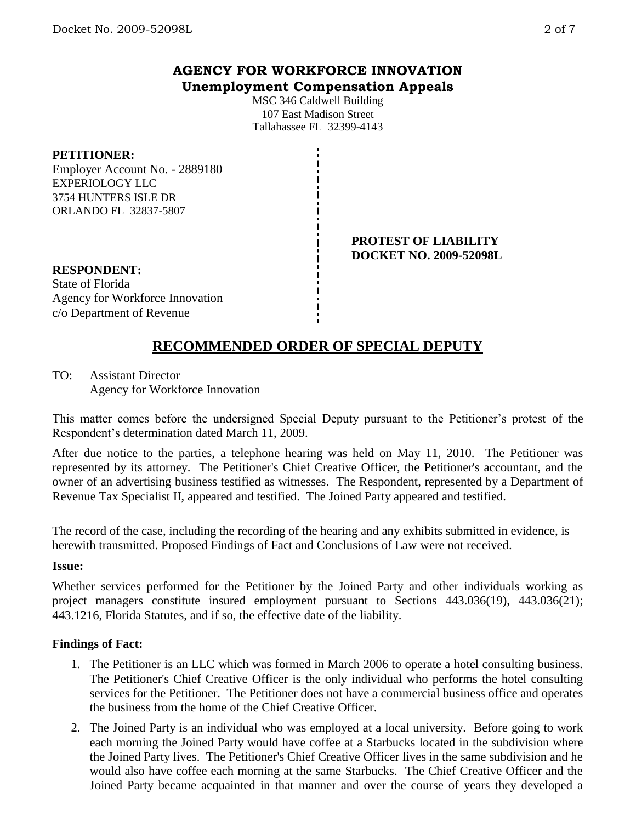## **AGENCY FOR WORKFORCE INNOVATION Unemployment Compensation Appeals**

MSC 346 Caldwell Building 107 East Madison Street Tallahassee FL 32399-4143

### **PETITIONER:**

Employer Account No. - 2889180 EXPERIOLOGY LLC 3754 HUNTERS ISLE DR ORLANDO FL 32837-5807

> **PROTEST OF LIABILITY DOCKET NO. 2009-52098L**

## **RESPONDENT:**

State of Florida Agency for Workforce Innovation c/o Department of Revenue

# **RECOMMENDED ORDER OF SPECIAL DEPUTY**

### TO: Assistant Director

Agency for Workforce Innovation

This matter comes before the undersigned Special Deputy pursuant to the Petitioner's protest of the Respondent's determination dated March 11, 2009.

After due notice to the parties, a telephone hearing was held on May 11, 2010. The Petitioner was represented by its attorney. The Petitioner's Chief Creative Officer, the Petitioner's accountant, and the owner of an advertising business testified as witnesses. The Respondent, represented by a Department of Revenue Tax Specialist II, appeared and testified. The Joined Party appeared and testified.

The record of the case, including the recording of the hearing and any exhibits submitted in evidence, is herewith transmitted. Proposed Findings of Fact and Conclusions of Law were not received.

#### **Issue:**

Whether services performed for the Petitioner by the Joined Party and other individuals working as project managers constitute insured employment pursuant to Sections 443.036(19), 443.036(21); 443.1216, Florida Statutes, and if so, the effective date of the liability.

### **Findings of Fact:**

- 1. The Petitioner is an LLC which was formed in March 2006 to operate a hotel consulting business. The Petitioner's Chief Creative Officer is the only individual who performs the hotel consulting services for the Petitioner. The Petitioner does not have a commercial business office and operates the business from the home of the Chief Creative Officer.
- 2. The Joined Party is an individual who was employed at a local university. Before going to work each morning the Joined Party would have coffee at a Starbucks located in the subdivision where the Joined Party lives. The Petitioner's Chief Creative Officer lives in the same subdivision and he would also have coffee each morning at the same Starbucks. The Chief Creative Officer and the Joined Party became acquainted in that manner and over the course of years they developed a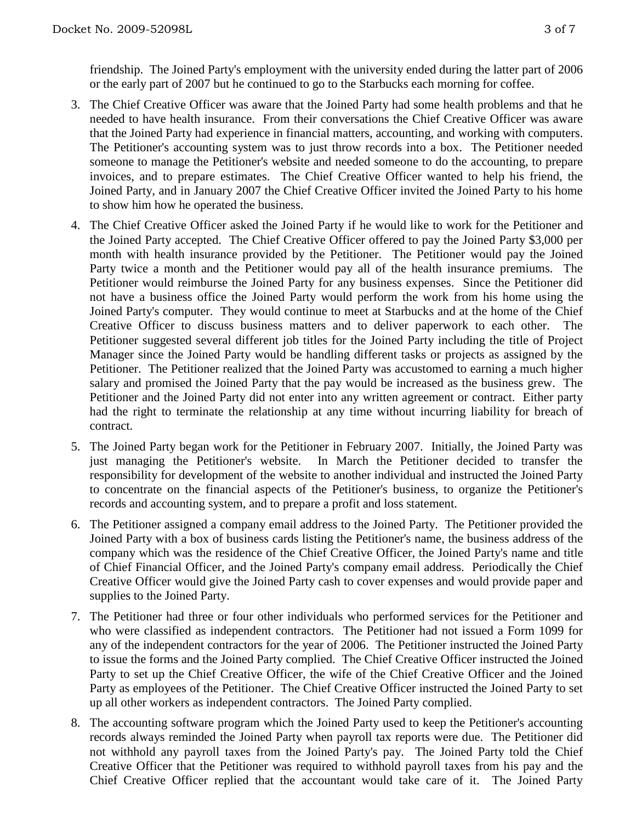friendship. The Joined Party's employment with the university ended during the latter part of 2006 or the early part of 2007 but he continued to go to the Starbucks each morning for coffee.

- 3. The Chief Creative Officer was aware that the Joined Party had some health problems and that he needed to have health insurance. From their conversations the Chief Creative Officer was aware that the Joined Party had experience in financial matters, accounting, and working with computers. The Petitioner's accounting system was to just throw records into a box. The Petitioner needed someone to manage the Petitioner's website and needed someone to do the accounting, to prepare invoices, and to prepare estimates. The Chief Creative Officer wanted to help his friend, the Joined Party, and in January 2007 the Chief Creative Officer invited the Joined Party to his home to show him how he operated the business.
- 4. The Chief Creative Officer asked the Joined Party if he would like to work for the Petitioner and the Joined Party accepted. The Chief Creative Officer offered to pay the Joined Party \$3,000 per month with health insurance provided by the Petitioner. The Petitioner would pay the Joined Party twice a month and the Petitioner would pay all of the health insurance premiums. The Petitioner would reimburse the Joined Party for any business expenses. Since the Petitioner did not have a business office the Joined Party would perform the work from his home using the Joined Party's computer. They would continue to meet at Starbucks and at the home of the Chief Creative Officer to discuss business matters and to deliver paperwork to each other. The Petitioner suggested several different job titles for the Joined Party including the title of Project Manager since the Joined Party would be handling different tasks or projects as assigned by the Petitioner. The Petitioner realized that the Joined Party was accustomed to earning a much higher salary and promised the Joined Party that the pay would be increased as the business grew. The Petitioner and the Joined Party did not enter into any written agreement or contract. Either party had the right to terminate the relationship at any time without incurring liability for breach of contract.
- 5. The Joined Party began work for the Petitioner in February 2007. Initially, the Joined Party was just managing the Petitioner's website. In March the Petitioner decided to transfer the responsibility for development of the website to another individual and instructed the Joined Party to concentrate on the financial aspects of the Petitioner's business, to organize the Petitioner's records and accounting system, and to prepare a profit and loss statement.
- 6. The Petitioner assigned a company email address to the Joined Party. The Petitioner provided the Joined Party with a box of business cards listing the Petitioner's name, the business address of the company which was the residence of the Chief Creative Officer, the Joined Party's name and title of Chief Financial Officer, and the Joined Party's company email address. Periodically the Chief Creative Officer would give the Joined Party cash to cover expenses and would provide paper and supplies to the Joined Party.
- 7. The Petitioner had three or four other individuals who performed services for the Petitioner and who were classified as independent contractors. The Petitioner had not issued a Form 1099 for any of the independent contractors for the year of 2006. The Petitioner instructed the Joined Party to issue the forms and the Joined Party complied. The Chief Creative Officer instructed the Joined Party to set up the Chief Creative Officer, the wife of the Chief Creative Officer and the Joined Party as employees of the Petitioner. The Chief Creative Officer instructed the Joined Party to set up all other workers as independent contractors. The Joined Party complied.
- 8. The accounting software program which the Joined Party used to keep the Petitioner's accounting records always reminded the Joined Party when payroll tax reports were due. The Petitioner did not withhold any payroll taxes from the Joined Party's pay. The Joined Party told the Chief Creative Officer that the Petitioner was required to withhold payroll taxes from his pay and the Chief Creative Officer replied that the accountant would take care of it. The Joined Party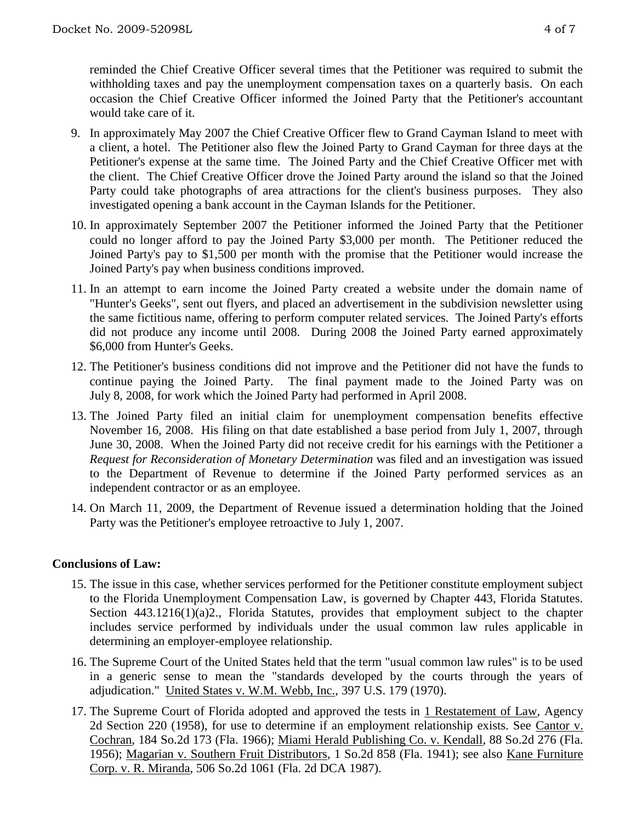- 9. In approximately May 2007 the Chief Creative Officer flew to Grand Cayman Island to meet with a client, a hotel. The Petitioner also flew the Joined Party to Grand Cayman for three days at the Petitioner's expense at the same time. The Joined Party and the Chief Creative Officer met with the client. The Chief Creative Officer drove the Joined Party around the island so that the Joined Party could take photographs of area attractions for the client's business purposes. They also investigated opening a bank account in the Cayman Islands for the Petitioner.
- 10. In approximately September 2007 the Petitioner informed the Joined Party that the Petitioner could no longer afford to pay the Joined Party \$3,000 per month. The Petitioner reduced the Joined Party's pay to \$1,500 per month with the promise that the Petitioner would increase the Joined Party's pay when business conditions improved.
- 11. In an attempt to earn income the Joined Party created a website under the domain name of "Hunter's Geeks", sent out flyers, and placed an advertisement in the subdivision newsletter using the same fictitious name, offering to perform computer related services. The Joined Party's efforts did not produce any income until 2008. During 2008 the Joined Party earned approximately \$6,000 from Hunter's Geeks.
- 12. The Petitioner's business conditions did not improve and the Petitioner did not have the funds to continue paying the Joined Party. The final payment made to the Joined Party was on July 8, 2008, for work which the Joined Party had performed in April 2008.
- 13. The Joined Party filed an initial claim for unemployment compensation benefits effective November 16, 2008. His filing on that date established a base period from July 1, 2007, through June 30, 2008. When the Joined Party did not receive credit for his earnings with the Petitioner a *Request for Reconsideration of Monetary Determination* was filed and an investigation was issued to the Department of Revenue to determine if the Joined Party performed services as an independent contractor or as an employee.
- 14. On March 11, 2009, the Department of Revenue issued a determination holding that the Joined Party was the Petitioner's employee retroactive to July 1, 2007.

### **Conclusions of Law:**

- 15. The issue in this case, whether services performed for the Petitioner constitute employment subject to the Florida Unemployment Compensation Law, is governed by Chapter 443, Florida Statutes. Section 443.1216(1)(a)2., Florida Statutes, provides that employment subject to the chapter includes service performed by individuals under the usual common law rules applicable in determining an employer-employee relationship.
- 16. The Supreme Court of the United States held that the term "usual common law rules" is to be used in a generic sense to mean the "standards developed by the courts through the years of adjudication." United States v. W.M. Webb, Inc., 397 U.S. 179 (1970).
- 17. The Supreme Court of Florida adopted and approved the tests in 1 Restatement of Law, Agency 2d Section 220 (1958), for use to determine if an employment relationship exists. See Cantor v. Cochran, 184 So.2d 173 (Fla. 1966); Miami Herald Publishing Co. v. Kendall, 88 So.2d 276 (Fla. 1956); Magarian v. Southern Fruit Distributors, 1 So.2d 858 (Fla. 1941); see also Kane Furniture Corp. v. R. Miranda, 506 So.2d 1061 (Fla. 2d DCA 1987).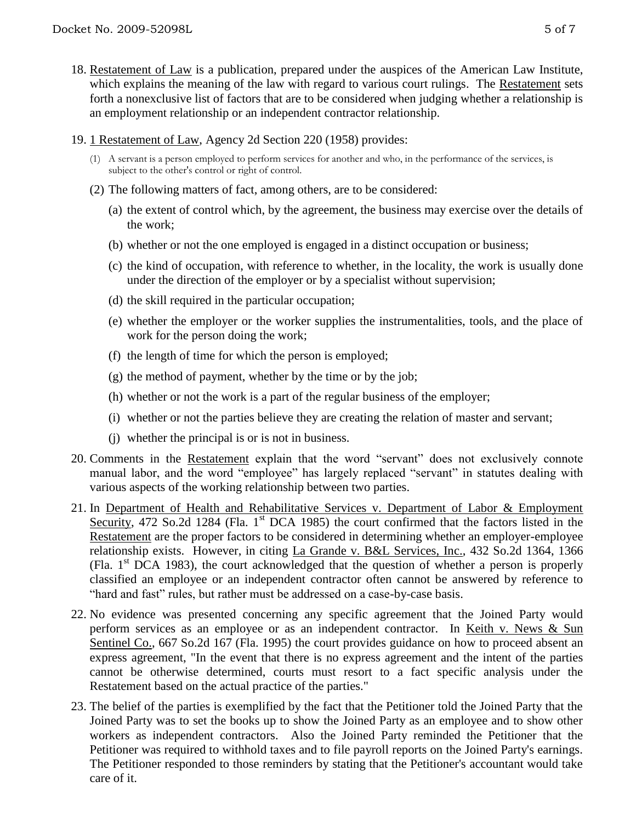- 18. Restatement of Law is a publication, prepared under the auspices of the American Law Institute, which explains the meaning of the law with regard to various court rulings. The Restatement sets forth a nonexclusive list of factors that are to be considered when judging whether a relationship is an employment relationship or an independent contractor relationship.
- 19. 1 Restatement of Law, Agency 2d Section 220 (1958) provides:
	- (1) A servant is a person employed to perform services for another and who, in the performance of the services, is subject to the other's control or right of control.
	- (2) The following matters of fact, among others, are to be considered:
		- (a) the extent of control which, by the agreement, the business may exercise over the details of the work;
		- (b) whether or not the one employed is engaged in a distinct occupation or business;
		- (c) the kind of occupation, with reference to whether, in the locality, the work is usually done under the direction of the employer or by a specialist without supervision;
		- (d) the skill required in the particular occupation;
		- (e) whether the employer or the worker supplies the instrumentalities, tools, and the place of work for the person doing the work;
		- (f) the length of time for which the person is employed;
		- $(g)$  the method of payment, whether by the time or by the job;
		- (h) whether or not the work is a part of the regular business of the employer;
		- (i) whether or not the parties believe they are creating the relation of master and servant;
		- (j) whether the principal is or is not in business.
- 20. Comments in the Restatement explain that the word "servant" does not exclusively connote manual labor, and the word "employee" has largely replaced "servant" in statutes dealing with various aspects of the working relationship between two parties.
- 21. In Department of Health and Rehabilitative Services v. Department of Labor & Employment Security, 472 So.2d 1284 (Fla.  $1<sup>st</sup>$  DCA 1985) the court confirmed that the factors listed in the Restatement are the proper factors to be considered in determining whether an employer-employee relationship exists. However, in citing La Grande v. B&L Services, Inc., 432 So.2d 1364, 1366 (Fla.  $1<sup>st</sup> DCA$  1983), the court acknowledged that the question of whether a person is properly classified an employee or an independent contractor often cannot be answered by reference to "hard and fast" rules, but rather must be addressed on a case-by-case basis.
- 22. No evidence was presented concerning any specific agreement that the Joined Party would perform services as an employee or as an independent contractor. In Keith v. News & Sun Sentinel Co., 667 So.2d 167 (Fla. 1995) the court provides guidance on how to proceed absent an express agreement, "In the event that there is no express agreement and the intent of the parties cannot be otherwise determined, courts must resort to a fact specific analysis under the Restatement based on the actual practice of the parties."
- 23. The belief of the parties is exemplified by the fact that the Petitioner told the Joined Party that the Joined Party was to set the books up to show the Joined Party as an employee and to show other workers as independent contractors. Also the Joined Party reminded the Petitioner that the Petitioner was required to withhold taxes and to file payroll reports on the Joined Party's earnings. The Petitioner responded to those reminders by stating that the Petitioner's accountant would take care of it.